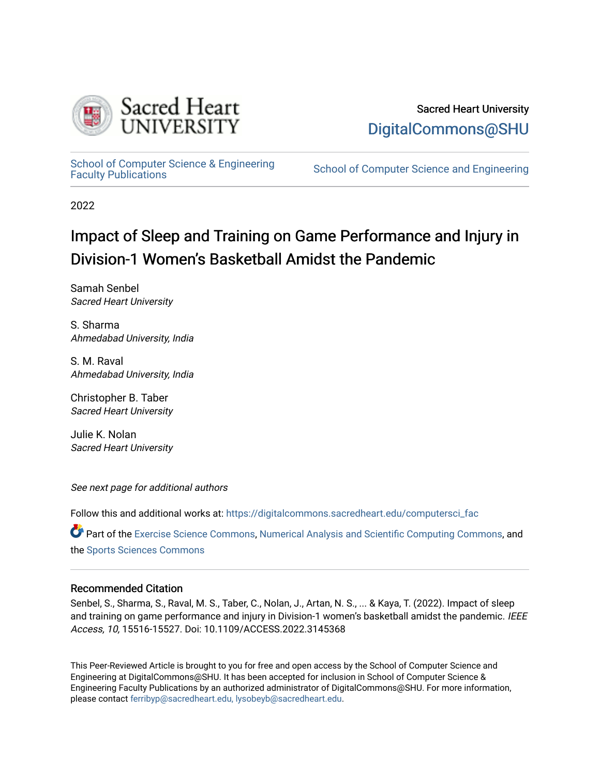

# Sacred Heart University [DigitalCommons@SHU](https://digitalcommons.sacredheart.edu/)

School of Computer Science & Engineering<br>Faculty Publications

School of Computer Science and Engineering

2022

# Impact of Sleep and Training on Game Performance and Injury in Division-1 Women's Basketball Amidst the Pandemic

Samah Senbel Sacred Heart University

S. Sharma Ahmedabad University, India

S. M. Raval Ahmedabad University, India

Christopher B. Taber Sacred Heart University

Julie K. Nolan Sacred Heart University

See next page for additional authors

Follow this and additional works at: [https://digitalcommons.sacredheart.edu/computersci\\_fac](https://digitalcommons.sacredheart.edu/computersci_fac?utm_source=digitalcommons.sacredheart.edu%2Fcomputersci_fac%2F177&utm_medium=PDF&utm_campaign=PDFCoverPages) 

Part of the [Exercise Science Commons](http://network.bepress.com/hgg/discipline/1091?utm_source=digitalcommons.sacredheart.edu%2Fcomputersci_fac%2F177&utm_medium=PDF&utm_campaign=PDFCoverPages), [Numerical Analysis and Scientific Computing Commons,](http://network.bepress.com/hgg/discipline/147?utm_source=digitalcommons.sacredheart.edu%2Fcomputersci_fac%2F177&utm_medium=PDF&utm_campaign=PDFCoverPages) and the [Sports Sciences Commons](http://network.bepress.com/hgg/discipline/759?utm_source=digitalcommons.sacredheart.edu%2Fcomputersci_fac%2F177&utm_medium=PDF&utm_campaign=PDFCoverPages) 

# Recommended Citation

Senbel, S., Sharma, S., Raval, M. S., Taber, C., Nolan, J., Artan, N. S., ... & Kaya, T. (2022). Impact of sleep and training on game performance and injury in Division-1 women's basketball amidst the pandemic. IEEE Access, 10, 15516-15527. Doi: 10.1109/ACCESS.2022.3145368

This Peer-Reviewed Article is brought to you for free and open access by the School of Computer Science and Engineering at DigitalCommons@SHU. It has been accepted for inclusion in School of Computer Science & Engineering Faculty Publications by an authorized administrator of DigitalCommons@SHU. For more information, please contact [ferribyp@sacredheart.edu, lysobeyb@sacredheart.edu.](mailto:ferribyp@sacredheart.edu,%20lysobeyb@sacredheart.edu)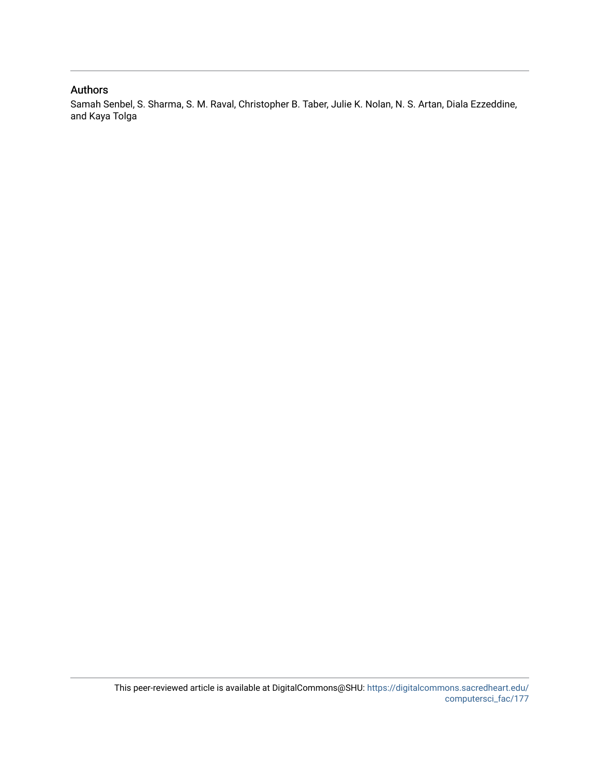# Authors

Samah Senbel, S. Sharma, S. M. Raval, Christopher B. Taber, Julie K. Nolan, N. S. Artan, Diala Ezzeddine, and Kaya Tolga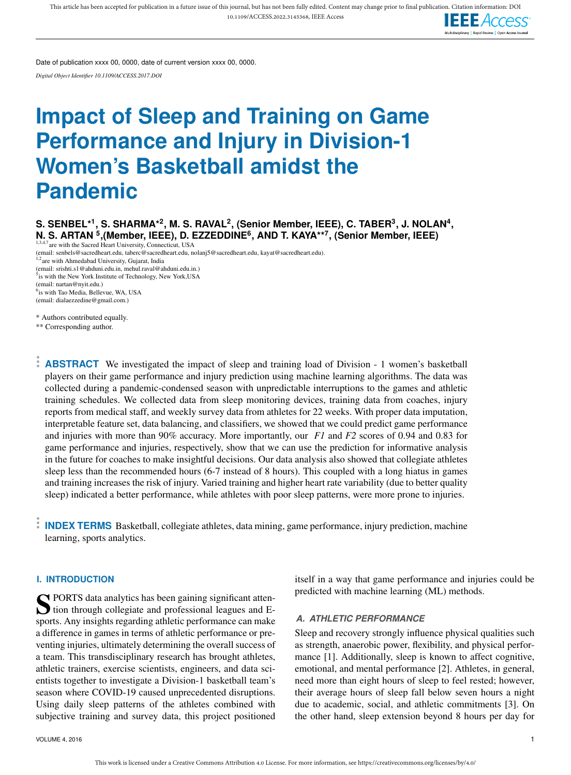

Date of publication xxxx 00, 0000, date of current version xxxx 00, 0000.

*Digital Object Identifier 10.1109/ACCESS.2017.DOI*

# **Impact of Sleep and Training on Game Performance and Injury in Division-1 Women's Basketball amidst the Pandemic**

 $\mathbf{S}.$  SENBEL\*<sup>1</sup>, S. SHARMA\*<sup>2</sup>, M. S. RAVAL<sup>2</sup>, (Senior Member, IEEE), C. TABER<sup>3</sup>, J. NOLAN<sup>4</sup>, **N. S. ARTAN <sup>5</sup> ,(Member, IEEE), D. EZZEDDINE<sup>6</sup> , AND T. KAYA\*\*<sup>7</sup> , (Senior Member, IEEE)**

1,3,4,7 are with the Sacred Heart University, Connecticut, USA

(email: senbels@sacredheart.edu, taberc@sacredheart.edu, nolanj5@sacredheart.edu, kayat@sacredheart.edu).<br><sup>1,2</sup>are with Ahmedabad University, Gujarat, India

(email: srishti.s1@ahduni.edu.in, mehul.raval@ahduni.edu.in.) <sup>5</sup>is with the New York Institute of Technology, New York, USA (email: nartan@nyit.edu.) 6 is with Tao Media, Bellevue, WA, USA (email: dialaezzedine@gmail.com.)

\* Authors contributed equally.

\*\* Corresponding author.

**ABSTRACT** We investigated the impact of sleep and training load of Division - 1 women's basketball players on their game performance and injury prediction using machine learning algorithms. The data was collected during a pandemic-condensed season with unpredictable interruptions to the games and athletic training schedules. We collected data from sleep monitoring devices, training data from coaches, injury reports from medical staff, and weekly survey data from athletes for 22 weeks. With proper data imputation, interpretable feature set, data balancing, and classifiers, we showed that we could predict game performance and injuries with more than 90% accuracy. More importantly, our *F1* and *F2* scores of 0.94 and 0.83 for game performance and injuries, respectively, show that we can use the prediction for informative analysis in the future for coaches to make insightful decisions. Our data analysis also showed that collegiate athletes sleep less than the recommended hours (6-7 instead of 8 hours). This coupled with a long hiatus in games and training increases the risk of injury. Varied training and higher heart rate variability (due to better quality sleep) indicated a better performance, while athletes with poor sleep patterns, were more prone to injuries.

**INDEX TERMS** Basketball, collegiate athletes, data mining, game performance, injury prediction, machine learning, sports analytics.

#### **I. INTRODUCTION**

S PORTS data analytics has been gaining significant atten-<br>tion through collegiate and professional leagues and Etion through collegiate and professional leagues and Esports. Any insights regarding athletic performance can make a difference in games in terms of athletic performance or preventing injuries, ultimately determining the overall success of a team. This transdisciplinary research has brought athletes, athletic trainers, exercise scientists, engineers, and data scientists together to investigate a Division-1 basketball team's season where COVID-19 caused unprecedented disruptions. Using daily sleep patterns of the athletes combined with subjective training and survey data, this project positioned

itself in a way that game performance and injuries could be predicted with machine learning (ML) methods.

# *A. ATHLETIC PERFORMANCE*

Sleep and recovery strongly influence physical qualities such as strength, anaerobic power, flexibility, and physical performance [1]. Additionally, sleep is known to affect cognitive, emotional, and mental performance [2]. Athletes, in general, need more than eight hours of sleep to feel rested; however, their average hours of sleep fall below seven hours a night due to academic, social, and athletic commitments [3]. On the other hand, sleep extension beyond 8 hours per day for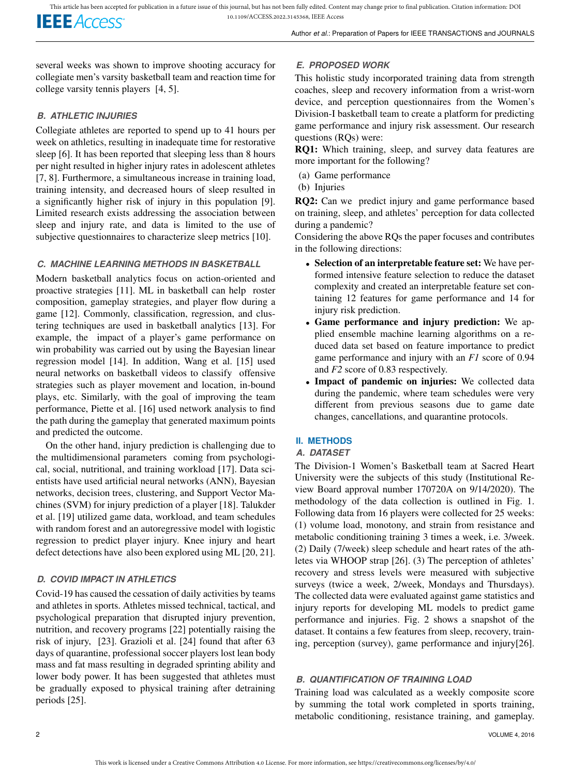several weeks was shown to improve shooting accuracy for collegiate men's varsity basketball team and reaction time for college varsity tennis players [4, 5].

# *B. ATHLETIC INJURIES*

Collegiate athletes are reported to spend up to 41 hours per week on athletics, resulting in inadequate time for restorative sleep [6]. It has been reported that sleeping less than 8 hours per night resulted in higher injury rates in adolescent athletes [7, 8]. Furthermore, a simultaneous increase in training load, training intensity, and decreased hours of sleep resulted in a significantly higher risk of injury in this population [9]. Limited research exists addressing the association between sleep and injury rate, and data is limited to the use of subjective questionnaires to characterize sleep metrics [10].

# *C. MACHINE LEARNING METHODS IN BASKETBALL*

Modern basketball analytics focus on action-oriented and proactive strategies [11]. ML in basketball can help roster composition, gameplay strategies, and player flow during a game [12]. Commonly, classification, regression, and clustering techniques are used in basketball analytics [13]. For example, the impact of a player's game performance on win probability was carried out by using the Bayesian linear regression model [14]. In addition, Wang et al. [15] used neural networks on basketball videos to classify offensive strategies such as player movement and location, in-bound plays, etc. Similarly, with the goal of improving the team performance, Piette et al. [16] used network analysis to find the path during the gameplay that generated maximum points and predicted the outcome.

On the other hand, injury prediction is challenging due to the multidimensional parameters coming from psychological, social, nutritional, and training workload [17]. Data scientists have used artificial neural networks (ANN), Bayesian networks, decision trees, clustering, and Support Vector Machines (SVM) for injury prediction of a player [18]. Talukder et al. [19] utilized game data, workload, and team schedules with random forest and an autoregressive model with logistic regression to predict player injury. Knee injury and heart defect detections have also been explored using ML [20, 21].

# *D. COVID IMPACT IN ATHLETICS*

Covid-19 has caused the cessation of daily activities by teams and athletes in sports. Athletes missed technical, tactical, and psychological preparation that disrupted injury prevention, nutrition, and recovery programs [22] potentially raising the risk of injury, [23]. Grazioli et al. [24] found that after 63 days of quarantine, professional soccer players lost lean body mass and fat mass resulting in degraded sprinting ability and lower body power. It has been suggested that athletes must be gradually exposed to physical training after detraining periods [25].

# *E. PROPOSED WORK*

This holistic study incorporated training data from strength coaches, sleep and recovery information from a wrist-worn device, and perception questionnaires from the Women's Division-I basketball team to create a platform for predicting game performance and injury risk assessment. Our research questions (RQs) were:

RQ1: Which training, sleep, and survey data features are more important for the following?

- (a) Game performance
- (b) Injuries

RQ2: Can we predict injury and game performance based on training, sleep, and athletes' perception for data collected during a pandemic?

Considering the above RQs the paper focuses and contributes in the following directions:

- Selection of an interpretable feature set: We have performed intensive feature selection to reduce the dataset complexity and created an interpretable feature set containing 12 features for game performance and 14 for injury risk prediction.
- Game performance and injury prediction: We applied ensemble machine learning algorithms on a reduced data set based on feature importance to predict game performance and injury with an *F1* score of 0.94 and *F2* score of 0.83 respectively.
- Impact of pandemic on injuries: We collected data during the pandemic, where team schedules were very different from previous seasons due to game date changes, cancellations, and quarantine protocols.

# **II. METHODS**

# *A. DATASET*

The Division-1 Women's Basketball team at Sacred Heart University were the subjects of this study (Institutional Review Board approval number 170720A on 9/14/2020). The methodology of the data collection is outlined in Fig. 1. Following data from 16 players were collected for 25 weeks: (1) volume load, monotony, and strain from resistance and metabolic conditioning training 3 times a week, i.e. 3/week. (2) Daily (7/week) sleep schedule and heart rates of the athletes via WHOOP strap [26]. (3) The perception of athletes' recovery and stress levels were measured with subjective surveys (twice a week, 2/week, Mondays and Thursdays). The collected data were evaluated against game statistics and injury reports for developing ML models to predict game performance and injuries. Fig. 2 shows a snapshot of the dataset. It contains a few features from sleep, recovery, training, perception (survey), game performance and injury[26].

# *B. QUANTIFICATION OF TRAINING LOAD*

Training load was calculated as a weekly composite score by summing the total work completed in sports training, metabolic conditioning, resistance training, and gameplay.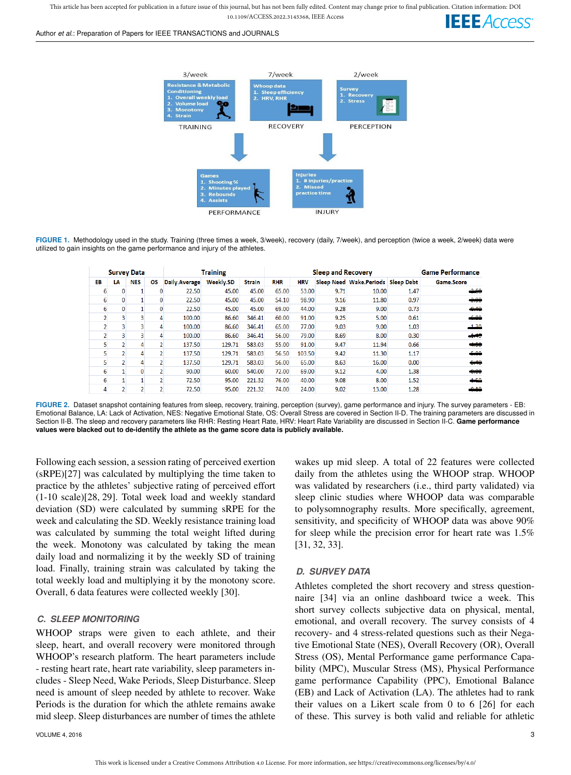This article has been accepted for publication in a future issue of this journal, but has not been fully edited. Content may change prior to final publication. Citation information: DOI 10.1109/ACCESS.2022.3145368, IEEE Access

#### Author *et al.*: Preparation of Papers for IEEE TRANSACTIONS and JOURNALS





**FIGURE 1.** Methodology used in the study. Training (three times a week, 3/week), recovery (daily, 7/week), and perception (twice a week, 2/week) data were utilized to gain insights on the game performance and injury of the athletes.

| <b>Survey Data</b> |              |            |                | <b>Training</b> |                  |               | <b>Sleep and Recovery</b> |            |      |                                    | <b>Game Performance</b> |                   |
|--------------------|--------------|------------|----------------|-----------------|------------------|---------------|---------------------------|------------|------|------------------------------------|-------------------------|-------------------|
| EB                 | LA           | <b>NES</b> | <b>OS</b>      | Daily.Average   | <b>Weekly.SD</b> | <b>Strain</b> | <b>RHR</b>                | <b>HRV</b> |      | Sleep Need Wake Periods Sleep Debt |                         | <b>Game.Score</b> |
| 6                  | 0            |            |                | 22.50           | 45.00            | 45.00         | 65.00                     | 53.00      | 9.71 | 10.00                              | 1.47                    | 2.60              |
| 6                  | $\mathbf{0}$ |            |                | 22.50           | 45.00            | 45.00         | 54.10                     | 98.90      | 9.16 | 11.80                              | 0.97                    | 3.90              |
| 6                  | $\mathbf{0}$ |            |                | 22.50           | 45.00            | 45.00         | 69.00                     | 44.00      | 9.28 | 9.00                               | 0.73                    | 0.40              |
|                    |              |            |                | 100.00          | 86.60            | 346.41        | 60.00                     | 91.00      | 9.25 | 5.00                               | 0.61                    | 00 <sup>2</sup>   |
|                    |              | 3          |                | 100.00          | 86.60            | 346.41        | 65.00                     | 77.00      | 9.03 | 9.00                               | 1.03                    | 130               |
|                    |              |            |                | 100.00          | 86.60            | 346.41        | 56.00                     | 79.00      | 8.69 | 8.00                               | 0.30                    |                   |
| 5                  |              | 4          |                | 137.50          | 129.71           | 583.03        | 55.00                     | 91.00      | 9.47 | 11.94                              | 0.66                    | 4.50              |
|                    |              | 4          |                | 137.50          | 129.71           | 583.03        | 56.50                     | 103.50     | 9.42 | 11.30                              | 1.17                    | 5.00              |
|                    |              |            |                | 137.50          | 129.71           | 583.03        | 56.00                     | 65.00      | 8.63 | 16.00                              | 0.00                    | 6.10              |
| 6                  |              | $\Omega$   |                | 90.00           | 60.00            | 540.00        | 72.00                     | 69.00      | 9.12 | 4.00                               | 1.38                    | $-0.00$           |
| 6                  |              |            |                | 72.50           | 95.00            | 221.32        | 76.00                     | 40.00      | 9.08 | 8.00                               | 1.52                    | 4.50              |
| 4                  |              | 2          | $\overline{2}$ | 72.50           | 95.00            | 221.32        | 74.00                     | 24.00      | 9.02 | 13.00                              | 1.28                    | 0.10              |

**FIGURE 2.** Dataset snapshot containing features from sleep, recovery, training, perception (survey), game performance and injury. The survey parameters - EB: Emotional Balance, LA: Lack of Activation, NES: Negative Emotional State, OS: Overall Stress are covered in Section II-D. The training parameters are discussed in Section II-B. The sleep and recovery parameters like RHR: Resting Heart Rate, HRV: Heart Rate Variability are discussed in Section II-C. **Game performance values were blacked out to de-identify the athlete as the game score data is publicly available.**

Following each session, a session rating of perceived exertion (sRPE)[27] was calculated by multiplying the time taken to practice by the athletes' subjective rating of perceived effort (1-10 scale)[28, 29]. Total week load and weekly standard deviation (SD) were calculated by summing sRPE for the week and calculating the SD. Weekly resistance training load was calculated by summing the total weight lifted during the week. Monotony was calculated by taking the mean daily load and normalizing it by the weekly SD of training load. Finally, training strain was calculated by taking the total weekly load and multiplying it by the monotony score. Overall, 6 data features were collected weekly [30].

#### *C. SLEEP MONITORING*

WHOOP straps were given to each athlete, and their sleep, heart, and overall recovery were monitored through WHOOP's research platform. The heart parameters include - resting heart rate, heart rate variability, sleep parameters includes - Sleep Need, Wake Periods, Sleep Disturbance. Sleep need is amount of sleep needed by athlete to recover. Wake Periods is the duration for which the athlete remains awake mid sleep. Sleep disturbances are number of times the athlete

VOLUME 4, 2016 3

wakes up mid sleep. A total of 22 features were collected daily from the athletes using the WHOOP strap. WHOOP was validated by researchers (i.e., third party validated) via sleep clinic studies where WHOOP data was comparable to polysomnography results. More specifically, agreement, sensitivity, and specificity of WHOOP data was above 90% for sleep while the precision error for heart rate was 1.5% [31, 32, 33].

#### *D. SURVEY DATA*

Athletes completed the short recovery and stress questionnaire [34] via an online dashboard twice a week. This short survey collects subjective data on physical, mental, emotional, and overall recovery. The survey consists of 4 recovery- and 4 stress-related questions such as their Negative Emotional State (NES), Overall Recovery (OR), Overall Stress (OS), Mental Performance game performance Capability (MPC), Muscular Stress (MS), Physical Performance game performance Capability (PPC), Emotional Balance (EB) and Lack of Activation (LA). The athletes had to rank their values on a Likert scale from 0 to 6 [26] for each of these. This survey is both valid and reliable for athletic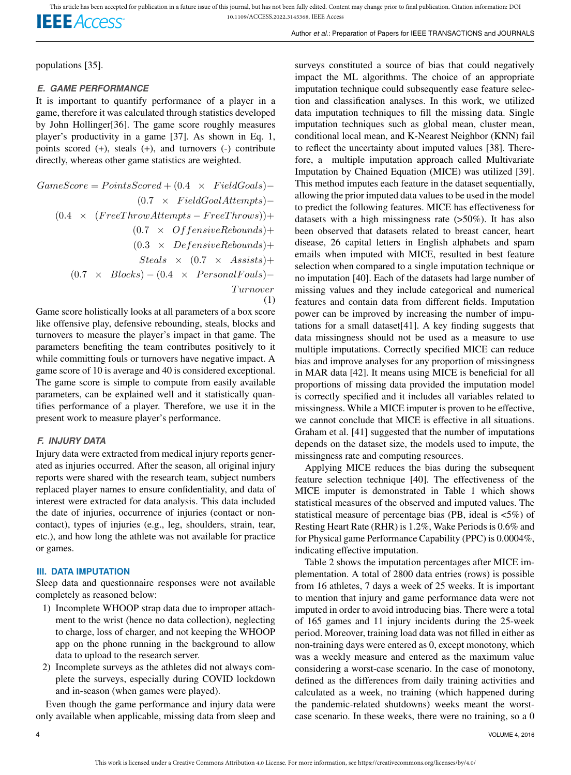populations [35].

#### *E. GAME PERFORMANCE*

It is important to quantify performance of a player in a game, therefore it was calculated through statistics developed by John Hollinger[36]. The game score roughly measures player's productivity in a game [37]. As shown in Eq. 1, points scored (+), steals (+), and turnovers (-) contribute directly, whereas other game statistics are weighted.

$$
GameScore = PointsScored + (0.4 \times FieldGoal) - (0.7 \times FieldGoal Attempts) - (0.4 \times (FreeThroughments - FreeThrough) + (0.7 \times OffensiveRebounds) + (0.3 \times DefensiveRebounds) + Steals \times (0.7 \times Assists) + (0.7 \times Block) - (0.4 \times PersonalFouls) - Trunover
$$
\n(1)

Game score holistically looks at all parameters of a box score like offensive play, defensive rebounding, steals, blocks and turnovers to measure the player's impact in that game. The parameters benefiting the team contributes positively to it while committing fouls or turnovers have negative impact. A game score of 10 is average and 40 is considered exceptional. The game score is simple to compute from easily available parameters, can be explained well and it statistically quantifies performance of a player. Therefore, we use it in the present work to measure player's performance.

#### *F. INJURY DATA*

Injury data were extracted from medical injury reports generated as injuries occurred. After the season, all original injury reports were shared with the research team, subject numbers replaced player names to ensure confidentiality, and data of interest were extracted for data analysis. This data included the date of injuries, occurrence of injuries (contact or noncontact), types of injuries (e.g., leg, shoulders, strain, tear, etc.), and how long the athlete was not available for practice or games.

## **III. DATA IMPUTATION**

Sleep data and questionnaire responses were not available completely as reasoned below:

- 1) Incomplete WHOOP strap data due to improper attachment to the wrist (hence no data collection), neglecting to charge, loss of charger, and not keeping the WHOOP app on the phone running in the background to allow data to upload to the research server.
- 2) Incomplete surveys as the athletes did not always complete the surveys, especially during COVID lockdown and in-season (when games were played).

Even though the game performance and injury data were only available when applicable, missing data from sleep and

surveys constituted a source of bias that could negatively impact the ML algorithms. The choice of an appropriate imputation technique could subsequently ease feature selection and classification analyses. In this work, we utilized data imputation techniques to fill the missing data. Single imputation techniques such as global mean, cluster mean, conditional local mean, and K-Nearest Neighbor (KNN) fail to reflect the uncertainty about imputed values [38]. Therefore, a multiple imputation approach called Multivariate Imputation by Chained Equation (MICE) was utilized [39]. This method imputes each feature in the dataset sequentially, allowing the prior imputed data values to be used in the model to predict the following features. MICE has effectiveness for datasets with a high missingness rate  $(50\%)$ . It has also been observed that datasets related to breast cancer, heart disease, 26 capital letters in English alphabets and spam emails when imputed with MICE, resulted in best feature selection when compared to a single imputation technique or no imputation [40]. Each of the datasets had large number of missing values and they include categorical and numerical features and contain data from different fields. Imputation power can be improved by increasing the number of imputations for a small dataset[41]. A key finding suggests that data missingness should not be used as a measure to use multiple imputations. Correctly specified MICE can reduce bias and improve analyses for any proportion of missingness in MAR data [42]. It means using MICE is beneficial for all proportions of missing data provided the imputation model is correctly specified and it includes all variables related to missingness. While a MICE imputer is proven to be effective, we cannot conclude that MICE is effective in all situations. Graham et al. [41] suggested that the number of imputations depends on the dataset size, the models used to impute, the missingness rate and computing resources.

Applying MICE reduces the bias during the subsequent feature selection technique [40]. The effectiveness of the MICE imputer is demonstrated in Table 1 which shows statistical measures of the observed and imputed values. The statistical measure of percentage bias (PB, ideal is <5%) of Resting Heart Rate (RHR) is 1.2%, Wake Periods is 0.6% and for Physical game Performance Capability (PPC) is 0.0004%, indicating effective imputation.

Table 2 shows the imputation percentages after MICE implementation. A total of 2800 data entries (rows) is possible from 16 athletes, 7 days a week of 25 weeks. It is important to mention that injury and game performance data were not imputed in order to avoid introducing bias. There were a total of 165 games and 11 injury incidents during the 25-week period. Moreover, training load data was not filled in either as non-training days were entered as 0, except monotony, which was a weekly measure and entered as the maximum value considering a worst-case scenario. In the case of monotony, defined as the differences from daily training activities and calculated as a week, no training (which happened during the pandemic-related shutdowns) weeks meant the worstcase scenario. In these weeks, there were no training, so a 0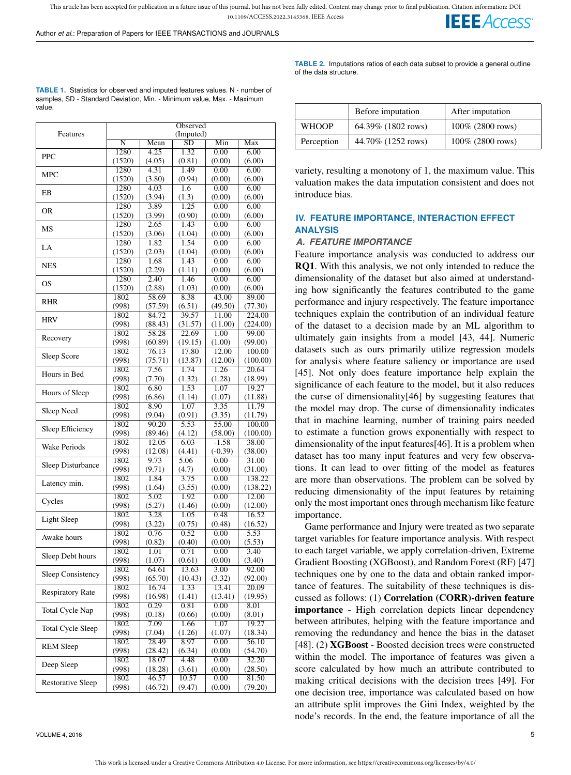This article has been accepted for publication in a future issue of this journal, but has not been fully edited. Content may change prior to final publication. Citation information: DOI 10.1109/ACCESS.2022.3145368, IEEE Access **IEEE** Access

Author *et al.*: Preparation of Papers for IEEE TRANSACTIONS and JOURNALS

| <b>TABLE 1.</b> Statistics for observed and imputed features values. N - number of |
|------------------------------------------------------------------------------------|
| samples, SD - Standard Deviation, Min. - Minimum value, Max. - Maximum             |
| value.                                                                             |

|                          | Observed      |         |                    |           |          |  |  |
|--------------------------|---------------|---------|--------------------|-----------|----------|--|--|
| Features                 |               |         | (Imputed)          |           |          |  |  |
|                          | Ñ             | Mean    | $\overline{SD}$    | Min       | Max      |  |  |
| <b>PPC</b>               | 1280          | 4.25    | 1.32               | 0.00      | 6.00     |  |  |
|                          | (1520)        | (4.05)  | (0.81)             | (0.00)    | (6.00)   |  |  |
|                          | 1280          | 4.31    | 1.49               | 0.00      | 6.00     |  |  |
| <b>MPC</b>               | (1520)        | (3.80)  | (0.94)             | (0.00)    | (6.00)   |  |  |
|                          | 1280          | 4.03    | 1.6                | 0.00      | 6.00     |  |  |
| EB                       | (1520)        | (3.94)  | (1.3)              | (0.00)    | (6.00)   |  |  |
|                          | 1280          | 3.89    | 1.25               | 0.00      | 6.00     |  |  |
| 0R                       | (1520)        | (3.99)  | (0.90)             | (0.00)    | (6.00)   |  |  |
|                          | 1280          | 2.65    | 1.43               | 0.00      | 6.00     |  |  |
| <b>MS</b>                | (1520)        | (3.06)  | (1.04)             | (0.00)    | (6.00)   |  |  |
|                          | 1280          | 1.82    | 1.54               | 0.00      | 6.00     |  |  |
| LA                       |               |         |                    | (0.00)    |          |  |  |
|                          | (1520)        | (2.03)  | (1.04)             |           | (6.00)   |  |  |
| <b>NES</b>               | 1280          | 1.68    | 1.43               | 0.00      | 6.00     |  |  |
|                          | (1520)        | (2.29)  | (1.11)             | (0.00)    | (6.00)   |  |  |
| OS                       | 1280          | 2.40    | 1.46               | 0.00      | 6.00     |  |  |
|                          | (1520)        | (2.88)  | (1.03)             | (0.00)    | (6.00)   |  |  |
| <b>RHR</b>               | 1802          | 58.69   | 8.38               | 43.00     | 89.00    |  |  |
|                          | (998)         | (57.59) | (6.51)             | (49.50)   | (77.30)  |  |  |
| <b>HRV</b>               | 1802          | 84.72   | 39.57              | 11.00     | 224.00   |  |  |
|                          | (998)         | (88.43) | (31.57)            | (11.00)   | (224.00) |  |  |
|                          | 1802          | 58.28   | 22.69              | 1.00      | 99.00    |  |  |
| Recovery                 | (998)         | (60.89) | (19.15)            | (1.00)    | (99.00)  |  |  |
|                          | 1802          | 76.13   | 17.80              | 12.00     | 100.00   |  |  |
| Sleep Score              | (998)         | (75.71) | (13.87)            | (12.00)   | (100.00) |  |  |
|                          | 1802          | 7.56    | 1.74               | 1.26      | 20.64    |  |  |
| Hours in Bed             | (998)         | (7.70)  | (1.32)             | (1.28)    | (18.99)  |  |  |
|                          | 1802          | 6.80    | 1.53               | 1.07      | 19.27    |  |  |
| Hours of Sleep           |               |         |                    |           | (11.88)  |  |  |
|                          | (998)<br>1802 | (6.86)  | (1.14)             | (1.07)    |          |  |  |
| Sleep Need               |               | 8.90    | 1.07               | 3.35      | 11.79    |  |  |
|                          | (998)         | (9.04)  | (0.91)             | (3.35)    | (11.79)  |  |  |
| Sleep Efficiency         | 1802          | 90.20   | 5.53               | 55.00     | 100.00   |  |  |
|                          | (998)         | (89.46) | (4.12)             | (58.00)   | (100.00) |  |  |
| <b>Wake Periods</b>      | 1802          | 12.05   | 6.03               | $-1.58$   | 38.00    |  |  |
|                          | (998)         | (12.08) | (4.41)             | $(-0.39)$ | (38.00)  |  |  |
| Sleep Disturbance        | 1802          | 9.73    | 5.06               | 0.00      | 31.00    |  |  |
|                          | (998)         | (9.71)  | (4.7)              | (0.00)    | (31.00)  |  |  |
| Latency min.             | 1802          | 1.84    | 3.75               | 0.00      | 138.22   |  |  |
|                          | (998)         | (1.64)  | (3.55)             | (0.00)    | (138.22) |  |  |
|                          | 1802          | 5.02    | 1.92               | 0.00      | 12.00    |  |  |
| Cycles                   | (998)         | (5.27)  | (1.46)             | (0.00)    | (12.00)  |  |  |
|                          | 1802          | 3.28    | 1.05               | 0.48      | 16.52    |  |  |
| Light Sleep              | (998)         | (3.22)  | (0.75)             | (0.48)    | (16.52)  |  |  |
|                          | 1802          | 0.76    | 0.52               | 0.00      | 5.53     |  |  |
| Awake hours              | (998)         | (0.82)  | (0.40)             | (0.00)    | (5.53)   |  |  |
|                          | 1802          | 1.01    | 0.71               | 0.00      | 3.40     |  |  |
| Sleep Debt hours         | (998)         | (1.07)  | (0.61)             | (0.00)    | (3.40)   |  |  |
|                          | 1802          | 64.61   | 13.63              | 3.00      | 92.00    |  |  |
| Sleep Consistency        | (998)         | (65.70) | (10.43)            | (3.32)    | (92.00)  |  |  |
|                          | 1802          | 16.74   | 1.33               | 13.41     | 20.09    |  |  |
| <b>Respiratory Rate</b>  |               |         |                    |           |          |  |  |
|                          | (998)         | (16.98) | (1.41)             | (13.41)   | (19.95)  |  |  |
| <b>Total Cycle Nap</b>   | 1802          | 0.29    | 0.81               | 0.00      | 8.01     |  |  |
|                          | (998)         | (0.18)  | (0.66)             | (0.00)    | (8.01)   |  |  |
| <b>Total Cycle Sleep</b> | 1802          | 7.09    | 1.66               | 1.07      | 19.27    |  |  |
|                          | (998)         | (7.04)  | (1.26)             | (1.07)    | (18.34)  |  |  |
| <b>REM Sleep</b>         | 1802          | 28.49   | 8.97               | 0.00      | 56.10    |  |  |
|                          | (998)         | (28.42) | (6.34)             | (0.00)    | (54.70)  |  |  |
| Deep Sleep               | 1802          | 18.07   | $\overline{4}$ .48 | 0.00      | 32.20    |  |  |
|                          | (998)         | (18.28) | (3.61)             | (0.00)    | (28.50)  |  |  |
|                          | 1802          | 46.57   | 10.57              | 0.00      | 81.50    |  |  |
| <b>Restorative Sleep</b> | (998)         | (46.72) | (9.47)             | (0.00)    | (79.20)  |  |  |
|                          |               |         |                    |           |          |  |  |

VOLUME 4, 2016 5

**TABLE 2.** Imputations ratios of each data subset to provide a general outline of the data structure.

|              | Before imputation  | After imputation    |
|--------------|--------------------|---------------------|
| <b>WHOOP</b> | 64.39% (1802 rows) | $100\%$ (2800 rows) |
| Perception   | 44.70% (1252 rows) | $100\%$ (2800 rows) |

variety, resulting a monotony of 1, the maximum value. This valuation makes the data imputation consistent and does not introduce bias.

## **IV. FEATURE IMPORTANCE, INTERACTION EFFECT ANALYSIS**

#### *A. FEATURE IMPORTANCE*

Feature importance analysis was conducted to address our RQ1. With this analysis, we not only intended to reduce the dimensionality of the dataset but also aimed at understanding how significantly the features contributed to the game performance and injury respectively. The feature importance techniques explain the contribution of an individual feature of the dataset to a decision made by an ML algorithm to ultimately gain insights from a model [43, 44]. Numeric datasets such as ours primarily utilize regression models for analysis where feature saliency or importance are used [45]. Not only does feature importance help explain the significance of each feature to the model, but it also reduces the curse of dimensionality[46] by suggesting features that the model may drop. The curse of dimensionality indicates that in machine learning, number of training pairs needed to estimate a function grows exponentially with respect to dimensionality of the input features[46]. It is a problem when dataset has too many input features and very few observations. It can lead to over fitting of the model as features are more than observations. The problem can be solved by reducing dimensionality of the input features by retaining only the most important ones through mechanism like feature importance.

Game performance and Injury were treated as two separate target variables for feature importance analysis. With respect to each target variable, we apply correlation-driven, Extreme Gradient Boosting (XGBoost), and Random Forest (RF) [47] techniques one by one to the data and obtain ranked importance of features. The suitability of these techniques is discussed as follows: (1) Correlation (CORR)-driven feature importance - High correlation depicts linear dependency between attributes, helping with the feature importance and removing the redundancy and hence the bias in the dataset [48]. (2) XGBoost - Boosted decision trees were constructed within the model. The importance of features was given a score calculated by how much an attribute contributed to making critical decisions with the decision trees [49]. For one decision tree, importance was calculated based on how an attribute split improves the Gini Index, weighted by the node's records. In the end, the feature importance of all the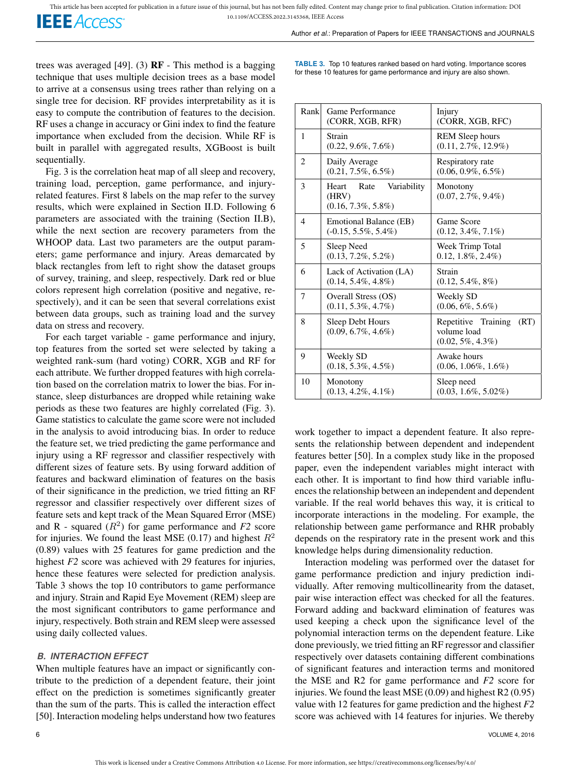**IEEE** Access

Author *et al.*: Preparation of Papers for IEEE TRANSACTIONS and JOURNALS

trees was averaged [49]. (3)  $RF - This$  method is a bagging technique that uses multiple decision trees as a base model to arrive at a consensus using trees rather than relying on a single tree for decision. RF provides interpretability as it is easy to compute the contribution of features to the decision. RF uses a change in accuracy or Gini index to find the feature importance when excluded from the decision. While RF is built in parallel with aggregated results, XGBoost is built sequentially.

Fig. 3 is the correlation heat map of all sleep and recovery, training load, perception, game performance, and injuryrelated features. First 8 labels on the map refer to the survey results, which were explained in Section II.D. Following 6 parameters are associated with the training (Section II.B), while the next section are recovery parameters from the WHOOP data. Last two parameters are the output parameters; game performance and injury. Areas demarcated by black rectangles from left to right show the dataset groups of survey, training, and sleep, respectively. Dark red or blue colors represent high correlation (positive and negative, respectively), and it can be seen that several correlations exist between data groups, such as training load and the survey data on stress and recovery.

For each target variable - game performance and injury, top features from the sorted set were selected by taking a weighted rank-sum (hard voting) CORR, XGB and RF for each attribute. We further dropped features with high correlation based on the correlation matrix to lower the bias. For instance, sleep disturbances are dropped while retaining wake periods as these two features are highly correlated (Fig. 3). Game statistics to calculate the game score were not included in the analysis to avoid introducing bias. In order to reduce the feature set, we tried predicting the game performance and injury using a RF regressor and classifier respectively with different sizes of feature sets. By using forward addition of features and backward elimination of features on the basis of their significance in the prediction, we tried fitting an RF regressor and classifier respectively over different sizes of feature sets and kept track of the Mean Squared Error (MSE) and  $R$  - squared  $(R^2)$  for game performance and  $F2$  score for injuries. We found the least MSE (0.17) and highest  $R^2$ (0.89) values with 25 features for game prediction and the highest *F2* score was achieved with 29 features for injuries, hence these features were selected for prediction analysis. Table 3 shows the top 10 contributors to game performance and injury. Strain and Rapid Eye Movement (REM) sleep are the most significant contributors to game performance and injury, respectively. Both strain and REM sleep were assessed using daily collected values.

#### *B. INTERACTION EFFECT*

When multiple features have an impact or significantly contribute to the prediction of a dependent feature, their joint effect on the prediction is sometimes significantly greater than the sum of the parts. This is called the interaction effect [50]. Interaction modeling helps understand how two features

**TABLE 3.** Top 10 features ranked based on hard voting. Importance scores for these 10 features for game performance and injury are also shown.

| Rank | Game Performance<br>(CORR, XGB, RFR)                            | Injury<br>(CORR, XGB, RFC)                                         |
|------|-----------------------------------------------------------------|--------------------------------------------------------------------|
| 1    | Strain<br>$(0.22, 9.6\%, 7.6\%)$                                | <b>REM Sleep hours</b><br>$(0.11, 2.7\%, 12.9\%)$                  |
| 2    | Daily Average<br>$(0.21, 7.5\%, 6.5\%)$                         | Respiratory rate<br>$(0.06, 0.9\%, 6.5\%)$                         |
| 3    | Variability<br>Heart<br>Rate<br>(HRV)<br>$(0.16, 7.3\%, 5.8\%)$ | Monotony<br>$(0.07, 2.7\%, 9.4\%)$                                 |
| 4    | Emotional Balance (EB)<br>$(-0.15, 5.5\%, 5.4\%)$               | Game Score<br>$(0.12, 3.4\%, 7.1\%)$                               |
| 5    | Sleep Need<br>$(0.13, 7.2\%, 5.2\%)$                            | Week Trimp Total<br>$0.12, 1.8\%, 2.4\%)$                          |
| 6    | Lack of Activation (LA)<br>$(0.14, 5.4\%, 4.8\%)$               | Strain<br>$(0.12, 5.4\%, 8\%)$                                     |
| 7    | Overall Stress (OS)<br>$(0.11, 5.3\%, 4.7\%)$                   | Weekly SD<br>$(0.06, 6\%, 5.6\%)$                                  |
| 8    | Sleep Debt Hours<br>$(0.09, 6.7\%, 4.6\%)$                      | Repetitive Training<br>(RT)<br>volume load<br>$(0.02, 5\%, 4.3\%)$ |
| 9    | Weekly SD<br>$(0.18, 5.3\%, 4.5\%)$                             | Awake hours<br>$(0.06, 1.06\%, 1.6\%)$                             |
| 10   | Monotony<br>$(0.13, 4.2\%, 4.1\%)$                              | Sleep need<br>$(0.03, 1.6\%, 5.02\%)$                              |

work together to impact a dependent feature. It also represents the relationship between dependent and independent features better [50]. In a complex study like in the proposed paper, even the independent variables might interact with each other. It is important to find how third variable influences the relationship between an independent and dependent variable. If the real world behaves this way, it is critical to incorporate interactions in the modeling. For example, the relationship between game performance and RHR probably depends on the respiratory rate in the present work and this knowledge helps during dimensionality reduction.

Interaction modeling was performed over the dataset for game performance prediction and injury prediction individually. After removing multicollinearity from the dataset, pair wise interaction effect was checked for all the features. Forward adding and backward elimination of features was used keeping a check upon the significance level of the polynomial interaction terms on the dependent feature. Like done previously, we tried fitting an RF regressor and classifier respectively over datasets containing different combinations of significant features and interaction terms and monitored the MSE and R2 for game performance and *F2* score for injuries. We found the least MSE (0.09) and highest R2 (0.95) value with 12 features for game prediction and the highest *F2* score was achieved with 14 features for injuries. We thereby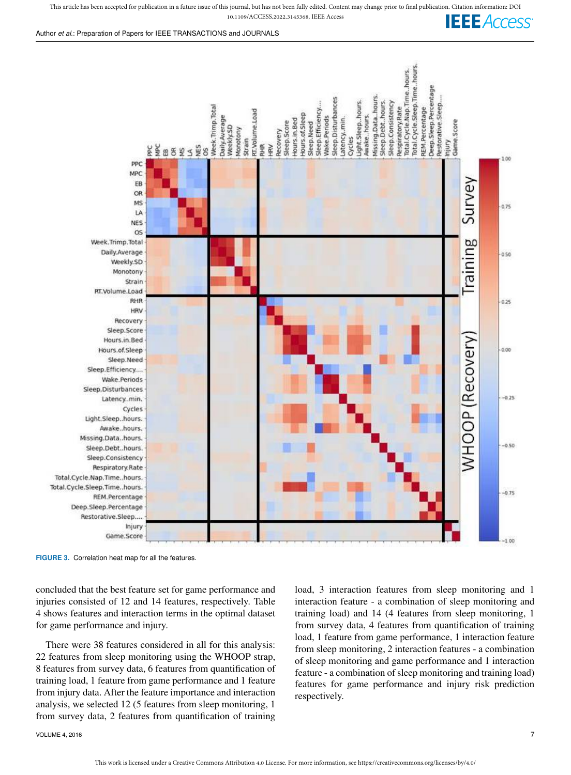

Cycles Light.Sleep..hours. Awake..hours. Missing.Data..hours. Sleep.Debt..hours.

**FIGURE 3.** Correlation heat map for all the features.

**OS** 

**HRV** Recovery Sleep.Score

Week.Trimp.Total

Daily.Average

Hours.in.Bed

Hours.of.Sleep Sleep.Need Sleep.Efficiency.... Wake.Periods Sleep.Disturbances

Latency..min.

Sleep.Consistency Respiratory.Rate

REM.Percentage Deep.Sleep.Percentage Restorative.Sleep...

> Injury Game Score

Total.Cycle.Nap.Time..hours. Total.Cycle.Sleep.Time..hours.

Weekly.SD Monotony Strain RT.Volume.Load **RHR** 

concluded that the best feature set for game performance and injuries consisted of 12 and 14 features, respectively. Table 4 shows features and interaction terms in the optimal dataset for game performance and injury.

There were 38 features considered in all for this analysis: 22 features from sleep monitoring using the WHOOP strap, 8 features from survey data, 6 features from quantification of training load, 1 feature from game performance and 1 feature from injury data. After the feature importance and interaction analysis, we selected 12 (5 features from sleep monitoring, 1 from survey data, 2 features from quantification of training load, 3 interaction features from sleep monitoring and 1 interaction feature - a combination of sleep monitoring and training load) and 14 (4 features from sleep monitoring, 1 from survey data, 4 features from quantification of training load, 1 feature from game performance, 1 interaction feature from sleep monitoring, 2 interaction features - a combination of sleep monitoring and game performance and 1 interaction feature - a combination of sleep monitoring and training load) features for game performance and injury risk prediction respectively.

raining

**NHOOP** (Recovery

050

 $0.25$ 

 $0.00$ 

 $-0.25$ 

 $-0.50$ 

 $-0.75$ 

 $-1.00$ 

VOLUME 4, 2016  $\hskip 1.6cm 7$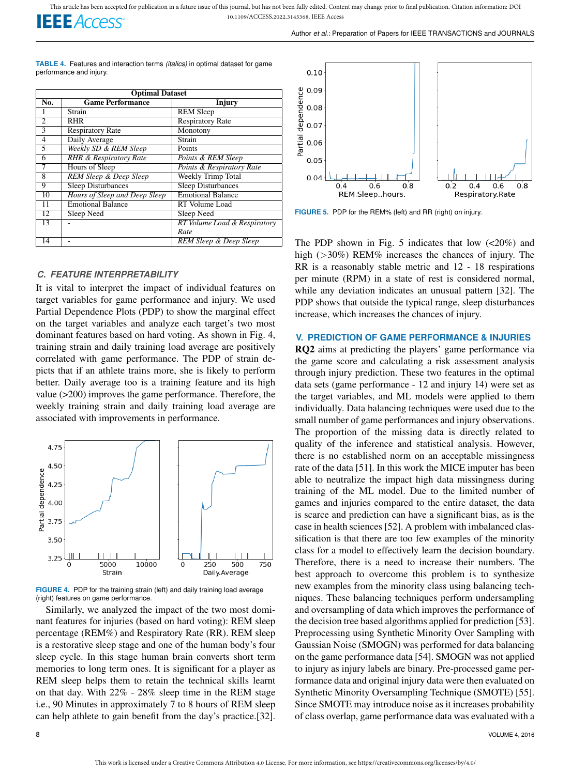

**TABLE 4.** Features and interaction terms *(italics)* in optimal dataset for game performance and injury.

| <b>Optimal Dataset</b>   |                                   |                              |  |  |  |
|--------------------------|-----------------------------------|------------------------------|--|--|--|
| No.                      | <b>Game Performance</b>           | Injury                       |  |  |  |
| 1                        | Strain                            | <b>REM Sleep</b>             |  |  |  |
| $\overline{c}$           | <b>RHR</b>                        | <b>Respiratory Rate</b>      |  |  |  |
| $\overline{\mathcal{E}}$ | <b>Respiratory Rate</b>           | Monotony                     |  |  |  |
| $\overline{4}$           | Daily Average                     | Strain                       |  |  |  |
| 5                        | Weekly SD & REM Sleep             | Points                       |  |  |  |
| 6                        | <b>RHR &amp; Respiratory Rate</b> | Points & REM Sleep           |  |  |  |
| $\overline{7}$           | Hours of Sleep                    | Points & Respiratory Rate    |  |  |  |
| 8                        | REM Sleep & Deep Sleep            | Weekly Trimp Total           |  |  |  |
| 9                        | <b>Sleep Disturbances</b>         | <b>Sleep Disturbances</b>    |  |  |  |
| 10                       | Hours of Sleep and Deep Sleep     | <b>Emotional Balance</b>     |  |  |  |
| 11                       | <b>Emotional Balance</b>          | RT Volume Load               |  |  |  |
| 12                       | Sleep Need                        | Sleep Need                   |  |  |  |
| 13                       |                                   | RT Volume Load & Respiratory |  |  |  |
|                          |                                   | Rate                         |  |  |  |
| 14                       |                                   | REM Sleep & Deep Sleep       |  |  |  |

#### *C. FEATURE INTERPRETABILITY*

It is vital to interpret the impact of individual features on target variables for game performance and injury. We used Partial Dependence Plots (PDP) to show the marginal effect on the target variables and analyze each target's two most dominant features based on hard voting. As shown in Fig. 4, training strain and daily training load average are positively correlated with game performance. The PDP of strain depicts that if an athlete trains more, she is likely to perform better. Daily average too is a training feature and its high value (>200) improves the game performance. Therefore, the weekly training strain and daily training load average are associated with improvements in performance.



**FIGURE 4.** PDP for the training strain (left) and daily training load average (right) features on game performance.

Similarly, we analyzed the impact of the two most dominant features for injuries (based on hard voting): REM sleep percentage (REM%) and Respiratory Rate (RR). REM sleep is a restorative sleep stage and one of the human body's four sleep cycle. In this stage human brain converts short term memories to long term ones. It is significant for a player as REM sleep helps them to retain the technical skills learnt on that day. With 22% - 28% sleep time in the REM stage i.e., 90 Minutes in approximately 7 to 8 hours of REM sleep can help athlete to gain benefit from the day's practice.[32].



**FIGURE 5.** PDP for the REM% (left) and RR (right) on injury.

The PDP shown in Fig. 5 indicates that low  $\left($ <20%) and high (>30%) REM% increases the chances of injury. The RR is a reasonably stable metric and 12 - 18 respirations per minute (RPM) in a state of rest is considered normal, while any deviation indicates an unusual pattern [32]. The PDP shows that outside the typical range, sleep disturbances increase, which increases the chances of injury.

#### **V. PREDICTION OF GAME PERFORMANCE & INJURIES**

RQ2 aims at predicting the players' game performance via the game score and calculating a risk assessment analysis through injury prediction. These two features in the optimal data sets (game performance - 12 and injury 14) were set as the target variables, and ML models were applied to them individually. Data balancing techniques were used due to the small number of game performances and injury observations. The proportion of the missing data is directly related to quality of the inference and statistical analysis. However, there is no established norm on an acceptable missingness rate of the data [51]. In this work the MICE imputer has been able to neutralize the impact high data missingness during training of the ML model. Due to the limited number of games and injuries compared to the entire dataset, the data is scarce and prediction can have a significant bias, as is the case in health sciences [52]. A problem with imbalanced classification is that there are too few examples of the minority class for a model to effectively learn the decision boundary. Therefore, there is a need to increase their numbers. The best approach to overcome this problem is to synthesize new examples from the minority class using balancing techniques. These balancing techniques perform undersampling and oversampling of data which improves the performance of the decision tree based algorithms applied for prediction [53]. Preprocessing using Synthetic Minority Over Sampling with Gaussian Noise (SMOGN) was performed for data balancing on the game performance data [54]. SMOGN was not applied to injury as injury labels are binary. Pre-processed game performance data and original injury data were then evaluated on Synthetic Minority Oversampling Technique (SMOTE) [55]. Since SMOTE may introduce noise as it increases probability of class overlap, game performance data was evaluated with a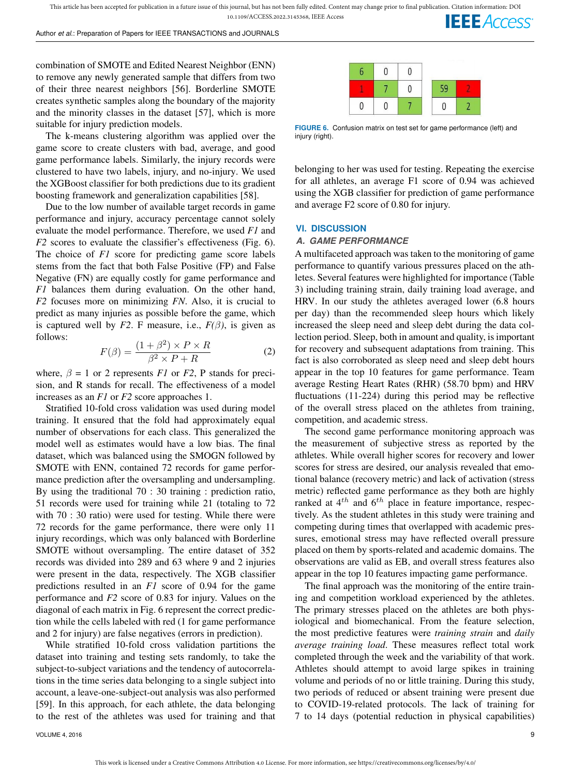combination of SMOTE and Edited Nearest Neighbor (ENN) to remove any newly generated sample that differs from two of their three nearest neighbors [56]. Borderline SMOTE creates synthetic samples along the boundary of the majority and the minority classes in the dataset [57], which is more suitable for injury prediction models.

The k-means clustering algorithm was applied over the game score to create clusters with bad, average, and good game performance labels. Similarly, the injury records were clustered to have two labels, injury, and no-injury. We used the XGBoost classifier for both predictions due to its gradient boosting framework and generalization capabilities [58].

Due to the low number of available target records in game performance and injury, accuracy percentage cannot solely evaluate the model performance. Therefore, we used *F1* and *F2* scores to evaluate the classifier's effectiveness (Fig. 6). The choice of *F1* score for predicting game score labels stems from the fact that both False Positive (FP) and False Negative (FN) are equally costly for game performance and *F1* balances them during evaluation. On the other hand, *F2* focuses more on minimizing *FN*. Also, it is crucial to predict as many injuries as possible before the game, which is captured well by *F2*. F measure, i.e.,  $F(\beta)$ , is given as follows:

$$
F(\beta) = \frac{(1+\beta^2) \times P \times R}{\beta^2 \times P + R}
$$
 (2)

where,  $\beta = 1$  or 2 represents *F1* or *F2*, P stands for precision, and R stands for recall. The effectiveness of a model increases as an *F1* or *F2* score approaches 1.

Stratified 10-fold cross validation was used during model training. It ensured that the fold had approximately equal number of observations for each class. This generalized the model well as estimates would have a low bias. The final dataset, which was balanced using the SMOGN followed by SMOTE with ENN, contained 72 records for game performance prediction after the oversampling and undersampling. By using the traditional 70 : 30 training : prediction ratio, 51 records were used for training while 21 (totaling to 72 with 70 : 30 ratio) were used for testing. While there were 72 records for the game performance, there were only 11 injury recordings, which was only balanced with Borderline SMOTE without oversampling. The entire dataset of 352 records was divided into 289 and 63 where 9 and 2 injuries were present in the data, respectively. The XGB classifier predictions resulted in an *F1* score of 0.94 for the game performance and *F2* score of 0.83 for injury. Values on the diagonal of each matrix in Fig. 6 represent the correct prediction while the cells labeled with red (1 for game performance and 2 for injury) are false negatives (errors in prediction).

While stratified 10-fold cross validation partitions the dataset into training and testing sets randomly, to take the subject-to-subject variations and the tendency of autocorrelations in the time series data belonging to a single subject into account, a leave-one-subject-out analysis was also performed [59]. In this approach, for each athlete, the data belonging to the rest of the athletes was used for training and that



**FIGURE 6.** Confusion matrix on test set for game performance (left) and injury (right).

belonging to her was used for testing. Repeating the exercise for all athletes, an average F1 score of 0.94 was achieved using the XGB classifier for prediction of game performance and average F2 score of 0.80 for injury.

# **VI. DISCUSSION**

#### *A. GAME PERFORMANCE*

A multifaceted approach was taken to the monitoring of game performance to quantify various pressures placed on the athletes. Several features were highlighted for importance (Table 3) including training strain, daily training load average, and HRV. In our study the athletes averaged lower (6.8 hours per day) than the recommended sleep hours which likely increased the sleep need and sleep debt during the data collection period. Sleep, both in amount and quality, is important for recovery and subsequent adaptations from training. This fact is also corroborated as sleep need and sleep debt hours appear in the top 10 features for game performance. Team average Resting Heart Rates (RHR) (58.70 bpm) and HRV fluctuations (11-224) during this period may be reflective of the overall stress placed on the athletes from training, competition, and academic stress.

The second game performance monitoring approach was the measurement of subjective stress as reported by the athletes. While overall higher scores for recovery and lower scores for stress are desired, our analysis revealed that emotional balance (recovery metric) and lack of activation (stress metric) reflected game performance as they both are highly ranked at  $4^{th}$  and  $6^{th}$  place in feature importance, respectively. As the student athletes in this study were training and competing during times that overlapped with academic pressures, emotional stress may have reflected overall pressure placed on them by sports-related and academic domains. The observations are valid as EB, and overall stress features also appear in the top 10 features impacting game performance.

The final approach was the monitoring of the entire training and competition workload experienced by the athletes. The primary stresses placed on the athletes are both physiological and biomechanical. From the feature selection, the most predictive features were *training strain* and *daily average training load*. These measures reflect total work completed through the week and the variability of that work. Athletes should attempt to avoid large spikes in training volume and periods of no or little training. During this study, two periods of reduced or absent training were present due to COVID-19-related protocols. The lack of training for 7 to 14 days (potential reduction in physical capabilities)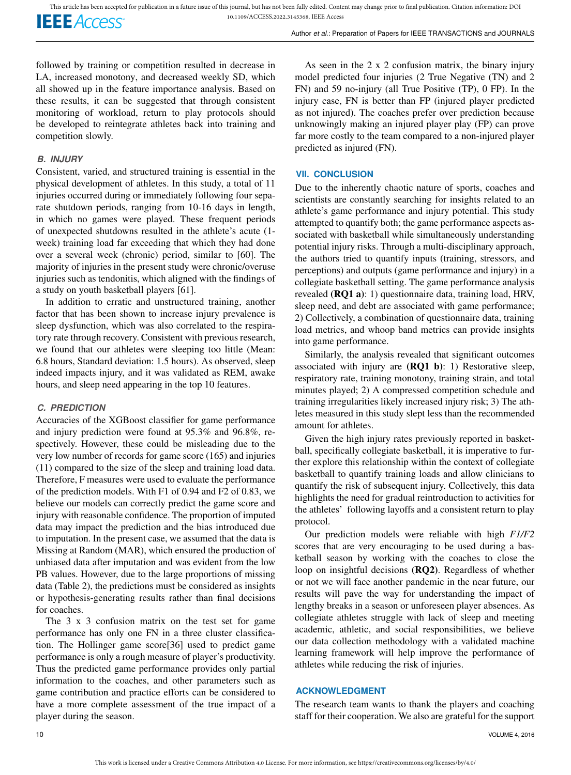**IEEE** Access®

Author *et al.*: Preparation of Papers for IEEE TRANSACTIONS and JOURNALS

followed by training or competition resulted in decrease in LA, increased monotony, and decreased weekly SD, which all showed up in the feature importance analysis. Based on these results, it can be suggested that through consistent monitoring of workload, return to play protocols should be developed to reintegrate athletes back into training and competition slowly.

# *B. INJURY*

Consistent, varied, and structured training is essential in the physical development of athletes. In this study, a total of 11 injuries occurred during or immediately following four separate shutdown periods, ranging from 10-16 days in length, in which no games were played. These frequent periods of unexpected shutdowns resulted in the athlete's acute (1 week) training load far exceeding that which they had done over a several week (chronic) period, similar to [60]. The majority of injuries in the present study were chronic/overuse injuries such as tendonitis, which aligned with the findings of a study on youth basketball players [61].

In addition to erratic and unstructured training, another factor that has been shown to increase injury prevalence is sleep dysfunction, which was also correlated to the respiratory rate through recovery. Consistent with previous research, we found that our athletes were sleeping too little (Mean: 6.8 hours, Standard deviation: 1.5 hours). As observed, sleep indeed impacts injury, and it was validated as REM, awake hours, and sleep need appearing in the top 10 features.

# *C. PREDICTION*

Accuracies of the XGBoost classifier for game performance and injury prediction were found at 95.3% and 96.8%, respectively. However, these could be misleading due to the very low number of records for game score (165) and injuries (11) compared to the size of the sleep and training load data. Therefore, F measures were used to evaluate the performance of the prediction models. With F1 of 0.94 and F2 of 0.83, we believe our models can correctly predict the game score and injury with reasonable confidence. The proportion of imputed data may impact the prediction and the bias introduced due to imputation. In the present case, we assumed that the data is Missing at Random (MAR), which ensured the production of unbiased data after imputation and was evident from the low PB values. However, due to the large proportions of missing data (Table 2), the predictions must be considered as insights or hypothesis-generating results rather than final decisions for coaches.

The 3 x 3 confusion matrix on the test set for game performance has only one FN in a three cluster classification. The Hollinger game score[36] used to predict game performance is only a rough measure of player's productivity. Thus the predicted game performance provides only partial information to the coaches, and other parameters such as game contribution and practice efforts can be considered to have a more complete assessment of the true impact of a player during the season.

As seen in the 2 x 2 confusion matrix, the binary injury model predicted four injuries (2 True Negative (TN) and 2 FN) and 59 no-injury (all True Positive (TP), 0 FP). In the injury case, FN is better than FP (injured player predicted as not injured). The coaches prefer over prediction because unknowingly making an injured player play (FP) can prove far more costly to the team compared to a non-injured player predicted as injured (FN).

# **VII. CONCLUSION**

Due to the inherently chaotic nature of sports, coaches and scientists are constantly searching for insights related to an athlete's game performance and injury potential. This study attempted to quantify both; the game performance aspects associated with basketball while simultaneously understanding potential injury risks. Through a multi-disciplinary approach, the authors tried to quantify inputs (training, stressors, and perceptions) and outputs (game performance and injury) in a collegiate basketball setting. The game performance analysis revealed (**RQ1 a**): 1) questionnaire data, training load, HRV, sleep need, and debt are associated with game performance; 2) Collectively, a combination of questionnaire data, training load metrics, and whoop band metrics can provide insights into game performance.

Similarly, the analysis revealed that significant outcomes associated with injury are  $(RQ1 b)$ : 1) Restorative sleep, respiratory rate, training monotony, training strain, and total minutes played; 2) A compressed competition schedule and training irregularities likely increased injury risk; 3) The athletes measured in this study slept less than the recommended amount for athletes.

Given the high injury rates previously reported in basketball, specifically collegiate basketball, it is imperative to further explore this relationship within the context of collegiate basketball to quantify training loads and allow clinicians to quantify the risk of subsequent injury. Collectively, this data highlights the need for gradual reintroduction to activities for the athletes' following layoffs and a consistent return to play protocol.

Our prediction models were reliable with high *F1/F2* scores that are very encouraging to be used during a basketball season by working with the coaches to close the loop on insightful decisions (RQ2). Regardless of whether or not we will face another pandemic in the near future, our results will pave the way for understanding the impact of lengthy breaks in a season or unforeseen player absences. As collegiate athletes struggle with lack of sleep and meeting academic, athletic, and social responsibilities, we believe our data collection methodology with a validated machine learning framework will help improve the performance of athletes while reducing the risk of injuries.

# **ACKNOWLEDGMENT**

The research team wants to thank the players and coaching staff for their cooperation. We also are grateful for the support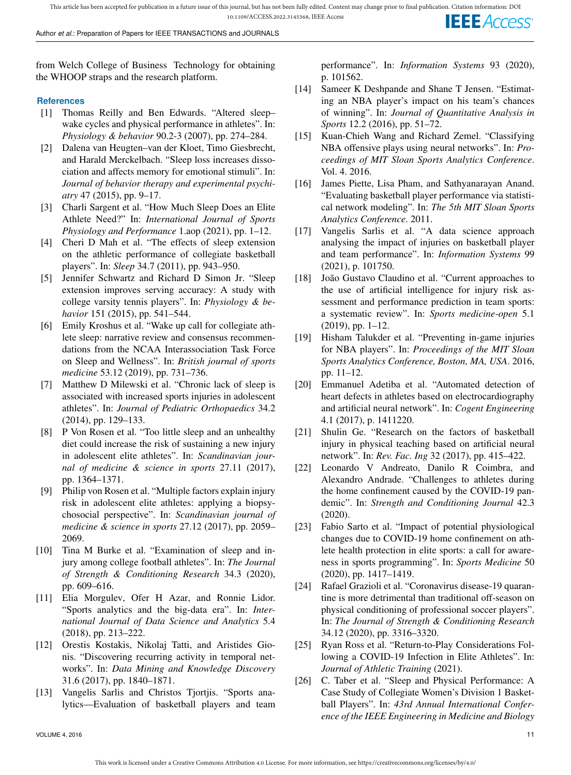This article has been accepted for publication in a future issue of this journal, but has not been fully edited. Content may change prior to final publication. Citation information: DOI 10.1109/ACCESS.2022.3145368, IEEE Access **IEEE** Access

Author *et al.*: Preparation of Papers for IEEE TRANSACTIONS and JOURNALS

from Welch College of Business Technology for obtaining the WHOOP straps and the research platform.

#### **References**

- [1] Thomas Reilly and Ben Edwards. "Altered sleep– wake cycles and physical performance in athletes". In: *Physiology & behavior* 90.2-3 (2007), pp. 274–284.
- [2] Dalena van Heugten–van der Kloet, Timo Giesbrecht, and Harald Merckelbach. "Sleep loss increases dissociation and affects memory for emotional stimuli". In: *Journal of behavior therapy and experimental psychiatry* 47 (2015), pp. 9–17.
- [3] Charli Sargent et al. "How Much Sleep Does an Elite Athlete Need?" In: *International Journal of Sports Physiology and Performance* 1.aop (2021), pp. 1–12.
- [4] Cheri D Mah et al. "The effects of sleep extension on the athletic performance of collegiate basketball players". In: *Sleep* 34.7 (2011), pp. 943–950.
- [5] Jennifer Schwartz and Richard D Simon Jr. "Sleep extension improves serving accuracy: A study with college varsity tennis players". In: *Physiology & behavior* 151 (2015), pp. 541–544.
- [6] Emily Kroshus et al. "Wake up call for collegiate athlete sleep: narrative review and consensus recommendations from the NCAA Interassociation Task Force on Sleep and Wellness". In: *British journal of sports medicine* 53.12 (2019), pp. 731–736.
- [7] Matthew D Milewski et al. "Chronic lack of sleep is associated with increased sports injuries in adolescent athletes". In: *Journal of Pediatric Orthopaedics* 34.2 (2014), pp. 129–133.
- [8] P Von Rosen et al. "Too little sleep and an unhealthy diet could increase the risk of sustaining a new injury in adolescent elite athletes". In: *Scandinavian journal of medicine & science in sports* 27.11 (2017), pp. 1364–1371.
- [9] Philip von Rosen et al. "Multiple factors explain injury risk in adolescent elite athletes: applying a biopsychosocial perspective". In: *Scandinavian journal of medicine & science in sports* 27.12 (2017), pp. 2059– 2069.
- [10] Tina M Burke et al. "Examination of sleep and injury among college football athletes". In: *The Journal of Strength & Conditioning Research* 34.3 (2020), pp. 609–616.
- [11] Elia Morgulev, Ofer H Azar, and Ronnie Lidor. "Sports analytics and the big-data era". In: *International Journal of Data Science and Analytics* 5.4 (2018), pp. 213–222.
- [12] Orestis Kostakis, Nikolaj Tatti, and Aristides Gionis. "Discovering recurring activity in temporal networks". In: *Data Mining and Knowledge Discovery* 31.6 (2017), pp. 1840–1871.
- [13] Vangelis Sarlis and Christos Tjortjis. "Sports analytics—Evaluation of basketball players and team

performance". In: *Information Systems* 93 (2020), p. 101562.

- [14] Sameer K Deshpande and Shane T Jensen. "Estimating an NBA player's impact on his team's chances of winning". In: *Journal of Quantitative Analysis in Sports* 12.2 (2016), pp. 51–72.
- [15] Kuan-Chieh Wang and Richard Zemel. "Classifying NBA offensive plays using neural networks". In: *Proceedings of MIT Sloan Sports Analytics Conference*. Vol. 4. 2016.
- [16] James Piette, Lisa Pham, and Sathyanarayan Anand. "Evaluating basketball player performance via statistical network modeling". In: *The 5th MIT Sloan Sports Analytics Conference*. 2011.
- [17] Vangelis Sarlis et al. "A data science approach analysing the impact of injuries on basketball player and team performance". In: *Information Systems* 99 (2021), p. 101750.
- [18] João Gustavo Claudino et al. "Current approaches to the use of artificial intelligence for injury risk assessment and performance prediction in team sports: a systematic review". In: *Sports medicine-open* 5.1 (2019), pp. 1–12.
- [19] Hisham Talukder et al. "Preventing in-game injuries for NBA players". In: *Proceedings of the MIT Sloan Sports Analytics Conference, Boston, MA, USA*. 2016, pp. 11–12.
- [20] Emmanuel Adetiba et al. "Automated detection of heart defects in athletes based on electrocardiography and artificial neural network". In: *Cogent Engineering* 4.1 (2017), p. 1411220.
- [21] Shulin Ge. "Research on the factors of basketball injury in physical teaching based on artificial neural network". In: *Rev. Fac. Ing* 32 (2017), pp. 415–422.
- [22] Leonardo V Andreato, Danilo R Coimbra, and Alexandro Andrade. "Challenges to athletes during the home confinement caused by the COVID-19 pandemic". In: *Strength and Conditioning Journal* 42.3 (2020).
- [23] Fabio Sarto et al. "Impact of potential physiological changes due to COVID-19 home confinement on athlete health protection in elite sports: a call for awareness in sports programming". In: *Sports Medicine* 50 (2020), pp. 1417–1419.
- [24] Rafael Grazioli et al. "Coronavirus disease-19 quarantine is more detrimental than traditional off-season on physical conditioning of professional soccer players". In: *The Journal of Strength & Conditioning Research* 34.12 (2020), pp. 3316–3320.
- [25] Ryan Ross et al. "Return-to-Play Considerations Following a COVID-19 Infection in Elite Athletes". In: *Journal of Athletic Training* (2021).
- [26] C. Taber et al. "Sleep and Physical Performance: A Case Study of Collegiate Women's Division 1 Basketball Players". In: *43rd Annual International Conference of the IEEE Engineering in Medicine and Biology*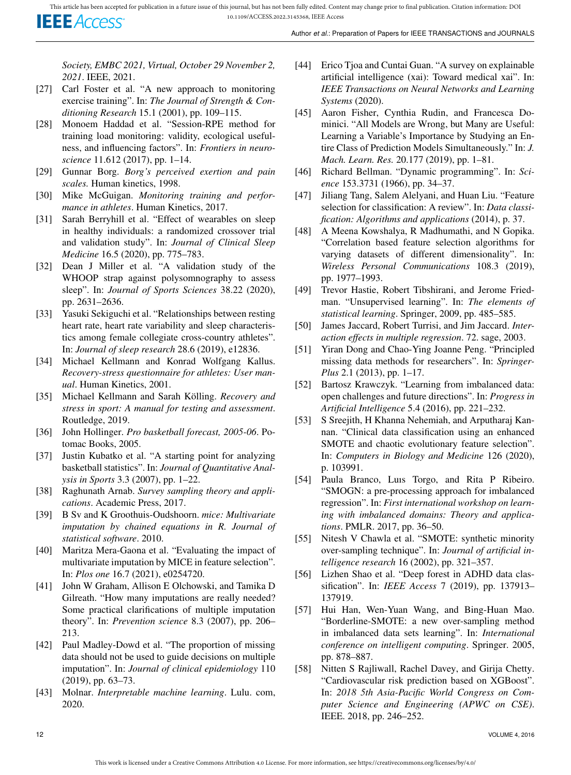*Society, EMBC 2021, Virtual, October 29 November 2, 2021*. IEEE, 2021.

- [27] Carl Foster et al. "A new approach to monitoring exercise training". In: *The Journal of Strength & Conditioning Research* 15.1 (2001), pp. 109–115.
- [28] Monoem Haddad et al. "Session-RPE method for training load monitoring: validity, ecological usefulness, and influencing factors". In: *Frontiers in neuroscience* 11.612 (2017), pp. 1–14.
- [29] Gunnar Borg. *Borg's perceived exertion and pain scales.* Human kinetics, 1998.
- [30] Mike McGuigan. *Monitoring training and performance in athletes*. Human Kinetics, 2017.
- [31] Sarah Berryhill et al. "Effect of wearables on sleep in healthy individuals: a randomized crossover trial and validation study". In: *Journal of Clinical Sleep Medicine* 16.5 (2020), pp. 775–783.
- [32] Dean J Miller et al. "A validation study of the WHOOP strap against polysomnography to assess sleep". In: *Journal of Sports Sciences* 38.22 (2020), pp. 2631–2636.
- [33] Yasuki Sekiguchi et al. "Relationships between resting heart rate, heart rate variability and sleep characteristics among female collegiate cross-country athletes". In: *Journal of sleep research* 28.6 (2019), e12836.
- [34] Michael Kellmann and Konrad Wolfgang Kallus. *Recovery-stress questionnaire for athletes: User manual*. Human Kinetics, 2001.
- [35] Michael Kellmann and Sarah Kölling. *Recovery and stress in sport: A manual for testing and assessment*. Routledge, 2019.
- [36] John Hollinger. *Pro basketball forecast, 2005-06*. Potomac Books, 2005.
- [37] Justin Kubatko et al. "A starting point for analyzing basketball statistics". In: *Journal of Quantitative Analysis in Sports* 3.3 (2007), pp. 1–22.
- [38] Raghunath Arnab. *Survey sampling theory and applications*. Academic Press, 2017.
- [39] B Sv and K Groothuis-Oudshoorn. *mice: Multivariate imputation by chained equations in R. Journal of statistical software*. 2010.
- [40] Maritza Mera-Gaona et al. "Evaluating the impact of multivariate imputation by MICE in feature selection". In: *Plos one* 16.7 (2021), e0254720.
- [41] John W Graham, Allison E Olchowski, and Tamika D Gilreath. "How many imputations are really needed? Some practical clarifications of multiple imputation theory". In: *Prevention science* 8.3 (2007), pp. 206– 213.
- [42] Paul Madley-Dowd et al. "The proportion of missing data should not be used to guide decisions on multiple imputation". In: *Journal of clinical epidemiology* 110 (2019), pp. 63–73.
- [43] Molnar. *Interpretable machine learning*. Lulu. com, 2020.
- [44] Erico Tjoa and Cuntai Guan. "A survey on explainable artificial intelligence (xai): Toward medical xai". In: *IEEE Transactions on Neural Networks and Learning Systems* (2020).
- [45] Aaron Fisher, Cynthia Rudin, and Francesca Dominici. "All Models are Wrong, but Many are Useful: Learning a Variable's Importance by Studying an Entire Class of Prediction Models Simultaneously." In: *J. Mach. Learn. Res.* 20.177 (2019), pp. 1–81.
- [46] Richard Bellman. "Dynamic programming". In: *Science* 153.3731 (1966), pp. 34–37.
- [47] Jiliang Tang, Salem Alelyani, and Huan Liu. "Feature selection for classification: A review". In: *Data classification: Algorithms and applications* (2014), p. 37.
- [48] A Meena Kowshalya, R Madhumathi, and N Gopika. "Correlation based feature selection algorithms for varying datasets of different dimensionality". In: *Wireless Personal Communications* 108.3 (2019), pp. 1977–1993.
- [49] Trevor Hastie, Robert Tibshirani, and Jerome Friedman. "Unsupervised learning". In: *The elements of statistical learning*. Springer, 2009, pp. 485–585.
- [50] James Jaccard, Robert Turrisi, and Jim Jaccard. *Interaction effects in multiple regression*. 72. sage, 2003.
- [51] Yiran Dong and Chao-Ying Joanne Peng. "Principled missing data methods for researchers". In: *Springer-Plus* 2.1 (2013), pp. 1–17.
- [52] Bartosz Krawczyk. "Learning from imbalanced data: open challenges and future directions". In: *Progress in Artificial Intelligence* 5.4 (2016), pp. 221–232.
- [53] S Sreejith, H Khanna Nehemiah, and Arputharaj Kannan. "Clinical data classification using an enhanced SMOTE and chaotic evolutionary feature selection". In: *Computers in Biology and Medicine* 126 (2020), p. 103991.
- [54] Paula Branco, Luıs Torgo, and Rita P Ribeiro. "SMOGN: a pre-processing approach for imbalanced regression". In: *First international workshop on learning with imbalanced domains: Theory and applications*. PMLR. 2017, pp. 36–50.
- [55] Nitesh V Chawla et al. "SMOTE: synthetic minority over-sampling technique". In: *Journal of artificial intelligence research* 16 (2002), pp. 321–357.
- [56] Lizhen Shao et al. "Deep forest in ADHD data classification". In: *IEEE Access* 7 (2019), pp. 137913– 137919.
- [57] Hui Han, Wen-Yuan Wang, and Bing-Huan Mao. "Borderline-SMOTE: a new over-sampling method in imbalanced data sets learning". In: *International conference on intelligent computing*. Springer. 2005, pp. 878–887.
- [58] Nitten S Rajliwall, Rachel Davey, and Girija Chetty. "Cardiovascular risk prediction based on XGBoost". In: *2018 5th Asia-Pacific World Congress on Computer Science and Engineering (APWC on CSE)*. IEEE. 2018, pp. 246–252.